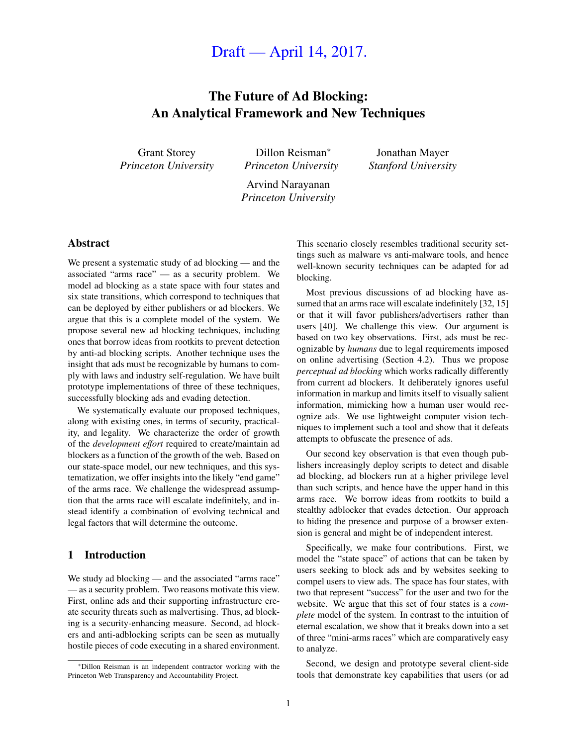# Draft — April 14, 2017.

## The Future of Ad Blocking: An Analytical Framework and New Techniques

Grant Storey *Princeton University*

Dillon Reisman<sup>∗</sup> *Princeton University*

Jonathan Mayer *Stanford University*

Arvind Narayanan *Princeton University*

## Abstract

We present a systematic study of ad blocking — and the associated "arms race" — as a security problem. We model ad blocking as a state space with four states and six state transitions, which correspond to techniques that can be deployed by either publishers or ad blockers. We argue that this is a complete model of the system. We propose several new ad blocking techniques, including ones that borrow ideas from rootkits to prevent detection by anti-ad blocking scripts. Another technique uses the insight that ads must be recognizable by humans to comply with laws and industry self-regulation. We have built prototype implementations of three of these techniques, successfully blocking ads and evading detection.

We systematically evaluate our proposed techniques, along with existing ones, in terms of security, practicality, and legality. We characterize the order of growth of the *development effort* required to create/maintain ad blockers as a function of the growth of the web. Based on our state-space model, our new techniques, and this systematization, we offer insights into the likely "end game" of the arms race. We challenge the widespread assumption that the arms race will escalate indefinitely, and instead identify a combination of evolving technical and legal factors that will determine the outcome.

## 1 Introduction

We study ad blocking — and the associated "arms race" — as a security problem. Two reasons motivate this view. First, online ads and their supporting infrastructure create security threats such as malvertising. Thus, ad blocking is a security-enhancing measure. Second, ad blockers and anti-adblocking scripts can be seen as mutually hostile pieces of code executing in a shared environment. This scenario closely resembles traditional security settings such as malware vs anti-malware tools, and hence well-known security techniques can be adapted for ad blocking.

Most previous discussions of ad blocking have as-sumed that an arms race will escalate indefinitely [\[32,](#page-14-0) [15\]](#page-14-1) or that it will favor publishers/advertisers rather than users [\[40\]](#page-14-2). We challenge this view. Our argument is based on two key observations. First, ads must be recognizable by *humans* due to legal requirements imposed on online advertising (Section [4.2\)](#page-4-0). Thus we propose *perceptual ad blocking* which works radically differently from current ad blockers. It deliberately ignores useful information in markup and limits itself to visually salient information, mimicking how a human user would recognize ads. We use lightweight computer vision techniques to implement such a tool and show that it defeats attempts to obfuscate the presence of ads.

Our second key observation is that even though publishers increasingly deploy scripts to detect and disable ad blocking, ad blockers run at a higher privilege level than such scripts, and hence have the upper hand in this arms race. We borrow ideas from rootkits to build a stealthy adblocker that evades detection. Our approach to hiding the presence and purpose of a browser extension is general and might be of independent interest.

Specifically, we make four contributions. First, we model the "state space" of actions that can be taken by users seeking to block ads and by websites seeking to compel users to view ads. The space has four states, with two that represent "success" for the user and two for the website. We argue that this set of four states is a *complete* model of the system. In contrast to the intuition of eternal escalation, we show that it breaks down into a set of three "mini-arms races" which are comparatively easy to analyze.

Second, we design and prototype several client-side tools that demonstrate key capabilities that users (or ad

<sup>∗</sup>Dillon Reisman is an independent contractor working with the Princeton Web Transparency and Accountability Project.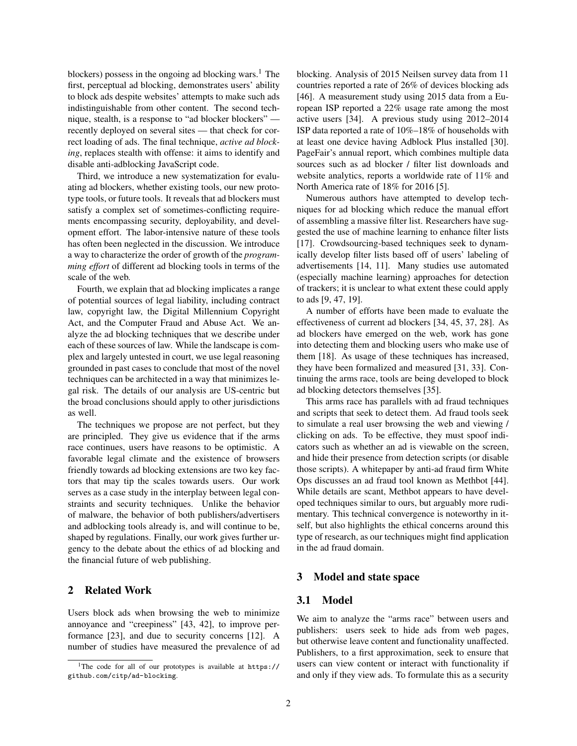blockers) possess in the ongoing ad blocking wars.<sup>[1](#page-1-0)</sup> The first, perceptual ad blocking, demonstrates users' ability to block ads despite websites' attempts to make such ads indistinguishable from other content. The second technique, stealth, is a response to "ad blocker blockers" recently deployed on several sites — that check for correct loading of ads. The final technique, *active ad blocking*, replaces stealth with offense: it aims to identify and disable anti-adblocking JavaScript code.

Third, we introduce a new systematization for evaluating ad blockers, whether existing tools, our new prototype tools, or future tools. It reveals that ad blockers must satisfy a complex set of sometimes-conflicting requirements encompassing security, deployability, and development effort. The labor-intensive nature of these tools has often been neglected in the discussion. We introduce a way to characterize the order of growth of the *programming effort* of different ad blocking tools in terms of the scale of the web.

Fourth, we explain that ad blocking implicates a range of potential sources of legal liability, including contract law, copyright law, the Digital Millennium Copyright Act, and the Computer Fraud and Abuse Act. We analyze the ad blocking techniques that we describe under each of these sources of law. While the landscape is complex and largely untested in court, we use legal reasoning grounded in past cases to conclude that most of the novel techniques can be architected in a way that minimizes legal risk. The details of our analysis are US-centric but the broad conclusions should apply to other jurisdictions as well.

The techniques we propose are not perfect, but they are principled. They give us evidence that if the arms race continues, users have reasons to be optimistic. A favorable legal climate and the existence of browsers friendly towards ad blocking extensions are two key factors that may tip the scales towards users. Our work serves as a case study in the interplay between legal constraints and security techniques. Unlike the behavior of malware, the behavior of both publishers/advertisers and adblocking tools already is, and will continue to be, shaped by regulations. Finally, our work gives further urgency to the debate about the ethics of ad blocking and the financial future of web publishing.

## 2 Related Work

Users block ads when browsing the web to minimize annoyance and "creepiness" [\[43,](#page-15-0) [42\]](#page-15-1), to improve performance [\[23\]](#page-14-3), and due to security concerns [\[12\]](#page-14-4). A number of studies have measured the prevalence of ad blocking. Analysis of 2015 Neilsen survey data from 11 countries reported a rate of 26% of devices blocking ads [\[46\]](#page-15-2). A measurement study using 2015 data from a European ISP reported a 22% usage rate among the most active users [\[34\]](#page-14-5). A previous study using 2012–2014 ISP data reported a rate of 10%–18% of households with at least one device having Adblock Plus installed [\[30\]](#page-14-6). PageFair's annual report, which combines multiple data sources such as ad blocker / filter list downloads and website analytics, reports a worldwide rate of 11% and North America rate of 18% for 2016 [\[5\]](#page-14-7).

Numerous authors have attempted to develop techniques for ad blocking which reduce the manual effort of assembling a massive filter list. Researchers have suggested the use of machine learning to enhance filter lists [\[17\]](#page-14-8). Crowdsourcing-based techniques seek to dynamically develop filter lists based off of users' labeling of advertisements [\[14,](#page-14-9) [11\]](#page-14-10). Many studies use automated (especially machine learning) approaches for detection of trackers; it is unclear to what extent these could apply to ads [\[9,](#page-14-11) [47,](#page-15-3) [19\]](#page-14-12).

A number of efforts have been made to evaluate the effectiveness of current ad blockers [\[34,](#page-14-5) [45,](#page-15-4) [37,](#page-14-13) [28\]](#page-14-14). As ad blockers have emerged on the web, work has gone into detecting them and blocking users who make use of them [\[18\]](#page-14-15). As usage of these techniques has increased, they have been formalized and measured [\[31,](#page-14-16) [33\]](#page-14-17). Continuing the arms race, tools are being developed to block ad blocking detectors themselves [\[35\]](#page-14-18).

This arms race has parallels with ad fraud techniques and scripts that seek to detect them. Ad fraud tools seek to simulate a real user browsing the web and viewing / clicking on ads. To be effective, they must spoof indicators such as whether an ad is viewable on the screen, and hide their presence from detection scripts (or disable those scripts). A whitepaper by anti-ad fraud firm White Ops discusses an ad fraud tool known as Methbot [\[44\]](#page-15-5). While details are scant, Methbot appears to have developed techniques similar to ours, but arguably more rudimentary. This technical convergence is noteworthy in itself, but also highlights the ethical concerns around this type of research, as our techniques might find application in the ad fraud domain.

#### 3 Model and state space

### 3.1 Model

We aim to analyze the "arms race" between users and publishers: users seek to hide ads from web pages, but otherwise leave content and functionality unaffected. Publishers, to a first approximation, seek to ensure that users can view content or interact with functionality if and only if they view ads. To formulate this as a security

<span id="page-1-0"></span><sup>&</sup>lt;sup>1</sup>The code for all of our prototypes is available at  $https://$ [github.com/citp/ad-blocking](https://github.com/citp/ad-blocking).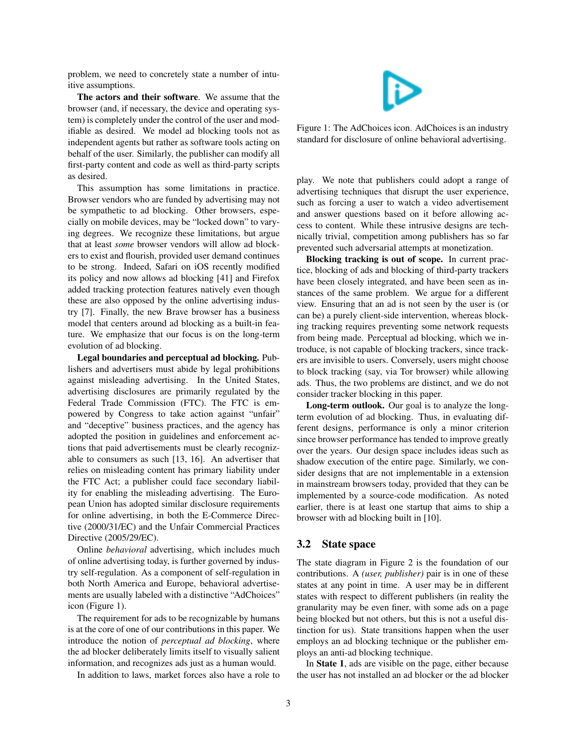problem, we need to concretely state a number of intuitive assumptions.

The actors and their software. We assume that the browser (and, if necessary, the device and operating system) is completely under the control of the user and modifiable as desired. We model ad blocking tools not as independent agents but rather as software tools acting on behalf of the user. Similarly, the publisher can modify all first-party content and code as well as third-party scripts as desired.

This assumption has some limitations in practice. Browser vendors who are funded by advertising may not be sympathetic to ad blocking. Other browsers, especially on mobile devices, may be "locked down" to varying degrees. We recognize these limitations, but argue that at least *some* browser vendors will allow ad blockers to exist and flourish, provided user demand continues to be strong. Indeed, Safari on iOS recently modified its policy and now allows ad blocking [\[41\]](#page-14-19) and Firefox added tracking protection features natively even though these are also opposed by the online advertising industry [\[7\]](#page-14-20). Finally, the new Brave browser has a business model that centers around ad blocking as a built-in feature. We emphasize that our focus is on the long-term evolution of ad blocking.

Legal boundaries and perceptual ad blocking. Publishers and advertisers must abide by legal prohibitions against misleading advertising. In the United States, advertising disclosures are primarily regulated by the Federal Trade Commission (FTC). The FTC is empowered by Congress to take action against "unfair" and "deceptive" business practices, and the agency has adopted the position in guidelines and enforcement actions that paid advertisements must be clearly recognizable to consumers as such [\[13,](#page-14-21) [16\]](#page-14-22). An advertiser that relies on misleading content has primary liability under the FTC Act; a publisher could face secondary liability for enabling the misleading advertising. The European Union has adopted similar disclosure requirements for online advertising, in both the E-Commerce Directive (2000/31/EC) and the Unfair Commercial Practices Directive (2005/29/EC).

Online *behavioral* advertising, which includes much of online advertising today, is further governed by industry self-regulation. As a component of self-regulation in both North America and Europe, behavioral advertisements are usually labeled with a distinctive "AdChoices" icon (Figure [1\)](#page-2-0).

The requirement for ads to be recognizable by humans is at the core of one of our contributions in this paper. We introduce the notion of *perceptual ad blocking*, where the ad blocker deliberately limits itself to visually salient information, and recognizes ads just as a human would.

In addition to laws, market forces also have a role to

<span id="page-2-0"></span>

Figure 1: The AdChoices icon. AdChoices is an industry standard for disclosure of online behavioral advertising.

play. We note that publishers could adopt a range of advertising techniques that disrupt the user experience, such as forcing a user to watch a video advertisement and answer questions based on it before allowing access to content. While these intrusive designs are technically trivial, competition among publishers has so far prevented such adversarial attempts at monetization.

Blocking tracking is out of scope. In current practice, blocking of ads and blocking of third-party trackers have been closely integrated, and have been seen as instances of the same problem. We argue for a different view. Ensuring that an ad is not seen by the user is (or can be) a purely client-side intervention, whereas blocking tracking requires preventing some network requests from being made. Perceptual ad blocking, which we introduce, is not capable of blocking trackers, since trackers are invisible to users. Conversely, users might choose to block tracking (say, via Tor browser) while allowing ads. Thus, the two problems are distinct, and we do not consider tracker blocking in this paper.

Long-term outlook. Our goal is to analyze the longterm evolution of ad blocking. Thus, in evaluating different designs, performance is only a minor criterion since browser performance has tended to improve greatly over the years. Our design space includes ideas such as shadow execution of the entire page. Similarly, we consider designs that are not implementable in a extension in mainstream browsers today, provided that they can be implemented by a source-code modification. As noted earlier, there is at least one startup that aims to ship a browser with ad blocking built in [\[10\]](#page-14-23).

#### 3.2 State space

The state diagram in Figure [2](#page-3-0) is the foundation of our contributions. A *(user, publisher)* pair is in one of these states at any point in time. A user may be in different states with respect to different publishers (in reality the granularity may be even finer, with some ads on a page being blocked but not others, but this is not a useful distinction for us). State transitions happen when the user employs an ad blocking technique or the publisher employs an anti-ad blocking technique.

In State 1, ads are visible on the page, either because the user has not installed an ad blocker or the ad blocker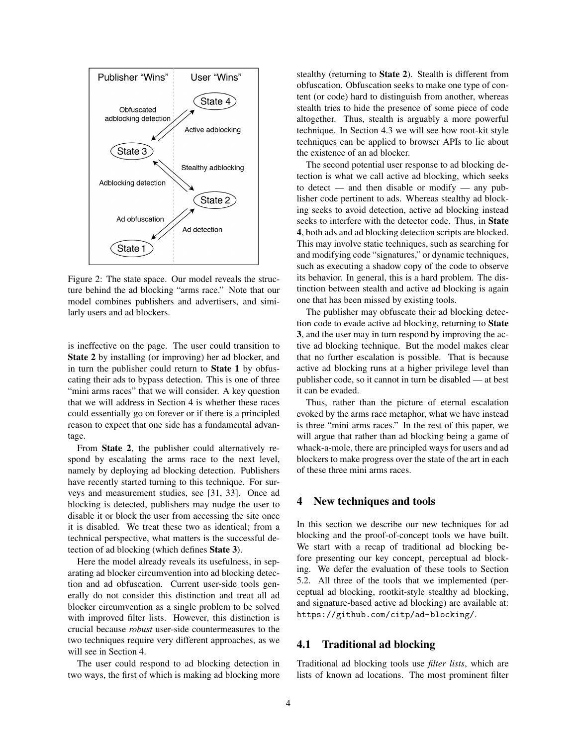<span id="page-3-0"></span>

Figure 2: The state space. Our model reveals the structure behind the ad blocking "arms race." Note that our model combines publishers and advertisers, and similarly users and ad blockers.

is ineffective on the page. The user could transition to State 2 by installing (or improving) her ad blocker, and in turn the publisher could return to State 1 by obfuscating their ads to bypass detection. This is one of three "mini arms races" that we will consider. A key question that we will address in Section [4](#page-3-1) is whether these races could essentially go on forever or if there is a principled reason to expect that one side has a fundamental advantage.

From State 2, the publisher could alternatively respond by escalating the arms race to the next level, namely by deploying ad blocking detection. Publishers have recently started turning to this technique. For surveys and measurement studies, see [\[31,](#page-14-16) [33\]](#page-14-17). Once ad blocking is detected, publishers may nudge the user to disable it or block the user from accessing the site once it is disabled. We treat these two as identical; from a technical perspective, what matters is the successful detection of ad blocking (which defines State 3).

Here the model already reveals its usefulness, in separating ad blocker circumvention into ad blocking detection and ad obfuscation. Current user-side tools generally do not consider this distinction and treat all ad blocker circumvention as a single problem to be solved with improved filter lists. However, this distinction is crucial because *robust* user-side countermeasures to the two techniques require very different approaches, as we will see in Section [4.](#page-3-1)

The user could respond to ad blocking detection in two ways, the first of which is making ad blocking more stealthy (returning to State 2). Stealth is different from obfuscation. Obfuscation seeks to make one type of content (or code) hard to distinguish from another, whereas stealth tries to hide the presence of some piece of code altogether. Thus, stealth is arguably a more powerful technique. In Section [4.3](#page-7-0) we will see how root-kit style techniques can be applied to browser APIs to lie about the existence of an ad blocker.

The second potential user response to ad blocking detection is what we call active ad blocking, which seeks to detect — and then disable or modify — any publisher code pertinent to ads. Whereas stealthy ad blocking seeks to avoid detection, active ad blocking instead seeks to interfere with the detector code. Thus, in State 4, both ads and ad blocking detection scripts are blocked. This may involve static techniques, such as searching for and modifying code "signatures," or dynamic techniques, such as executing a shadow copy of the code to observe its behavior. In general, this is a hard problem. The distinction between stealth and active ad blocking is again one that has been missed by existing tools.

The publisher may obfuscate their ad blocking detection code to evade active ad blocking, returning to State 3, and the user may in turn respond by improving the active ad blocking technique. But the model makes clear that no further escalation is possible. That is because active ad blocking runs at a higher privilege level than publisher code, so it cannot in turn be disabled — at best it can be evaded.

Thus, rather than the picture of eternal escalation evoked by the arms race metaphor, what we have instead is three "mini arms races." In the rest of this paper, we will argue that rather than ad blocking being a game of whack-a-mole, there are principled ways for users and ad blockers to make progress over the state of the art in each of these three mini arms races.

#### <span id="page-3-1"></span>4 New techniques and tools

In this section we describe our new techniques for ad blocking and the proof-of-concept tools we have built. We start with a recap of traditional ad blocking before presenting our key concept, perceptual ad blocking. We defer the evaluation of these tools to Section [5.2.](#page-11-0) All three of the tools that we implemented (perceptual ad blocking, rootkit-style stealthy ad blocking, and signature-based active ad blocking) are available at: <https://github.com/citp/ad-blocking/>.

#### 4.1 Traditional ad blocking

Traditional ad blocking tools use *filter lists*, which are lists of known ad locations. The most prominent filter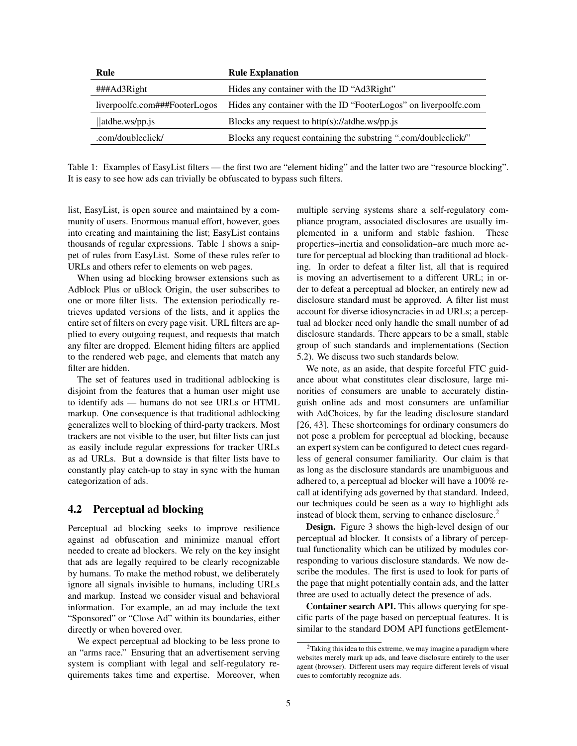<span id="page-4-1"></span>

| Rule                          | <b>Rule Explanation</b>                                          |
|-------------------------------|------------------------------------------------------------------|
| ###Ad3Right                   | Hides any container with the ID "Ad3Right"                       |
| liverpoolfc.com###FooterLogos | Hides any container with the ID "FooterLogos" on liverpoolfc.com |
| $\vert$ atdhe.ws/pp.js        | Blocks any request to $http(s)//atdhe.ws/pp.is$                  |
| .com/doubleclick/             | Blocks any request containing the substring ".com/doubleclick/"  |

Table 1: Examples of EasyList filters — the first two are "element hiding" and the latter two are "resource blocking". It is easy to see how ads can trivially be obfuscated to bypass such filters.

list, EasyList, is open source and maintained by a community of users. Enormous manual effort, however, goes into creating and maintaining the list; EasyList contains thousands of regular expressions. Table [1](#page-4-1) shows a snippet of rules from EasyList. Some of these rules refer to URLs and others refer to elements on web pages.

When using ad blocking browser extensions such as Adblock Plus or uBlock Origin, the user subscribes to one or more filter lists. The extension periodically retrieves updated versions of the lists, and it applies the entire set of filters on every page visit. URL filters are applied to every outgoing request, and requests that match any filter are dropped. Element hiding filters are applied to the rendered web page, and elements that match any filter are hidden.

The set of features used in traditional adblocking is disjoint from the features that a human user might use to identify ads — humans do not see URLs or HTML markup. One consequence is that traditional adblocking generalizes well to blocking of third-party trackers. Most trackers are not visible to the user, but filter lists can just as easily include regular expressions for tracker URLs as ad URLs. But a downside is that filter lists have to constantly play catch-up to stay in sync with the human categorization of ads.

#### <span id="page-4-0"></span>4.2 Perceptual ad blocking

Perceptual ad blocking seeks to improve resilience against ad obfuscation and minimize manual effort needed to create ad blockers. We rely on the key insight that ads are legally required to be clearly recognizable by humans. To make the method robust, we deliberately ignore all signals invisible to humans, including URLs and markup. Instead we consider visual and behavioral information. For example, an ad may include the text "Sponsored" or "Close Ad" within its boundaries, either directly or when hovered over.

We expect perceptual ad blocking to be less prone to an "arms race." Ensuring that an advertisement serving system is compliant with legal and self-regulatory requirements takes time and expertise. Moreover, when multiple serving systems share a self-regulatory compliance program, associated disclosures are usually implemented in a uniform and stable fashion. These properties–inertia and consolidation–are much more acture for perceptual ad blocking than traditional ad blocking. In order to defeat a filter list, all that is required is moving an advertisement to a different URL; in order to defeat a perceptual ad blocker, an entirely new ad disclosure standard must be approved. A filter list must account for diverse idiosyncracies in ad URLs; a perceptual ad blocker need only handle the small number of ad disclosure standards. There appears to be a small, stable group of such standards and implementations (Section [5.2\)](#page-11-0). We discuss two such standards below.

We note, as an aside, that despite forceful FTC guidance about what constitutes clear disclosure, large minorities of consumers are unable to accurately distinguish online ads and most consumers are unfamiliar with AdChoices, by far the leading disclosure standard [\[26,](#page-14-24) [43\]](#page-15-0). These shortcomings for ordinary consumers do not pose a problem for perceptual ad blocking, because an expert system can be configured to detect cues regardless of general consumer familiarity. Our claim is that as long as the disclosure standards are unambiguous and adhered to, a perceptual ad blocker will have a 100% recall at identifying ads governed by that standard. Indeed, our techniques could be seen as a way to highlight ads instead of block them, serving to enhance disclosure.[2](#page-4-2)

Design. Figure [3](#page-5-0) shows the high-level design of our perceptual ad blocker. It consists of a library of perceptual functionality which can be utilized by modules corresponding to various disclosure standards. We now describe the modules. The first is used to look for parts of the page that might potentially contain ads, and the latter three are used to actually detect the presence of ads.

Container search API. This allows querying for specific parts of the page based on perceptual features. It is similar to the standard DOM API functions getElement-

<span id="page-4-2"></span><sup>2</sup>Taking this idea to this extreme, we may imagine a paradigm where websites merely mark up ads, and leave disclosure entirely to the user agent (browser). Different users may require different levels of visual cues to comfortably recognize ads.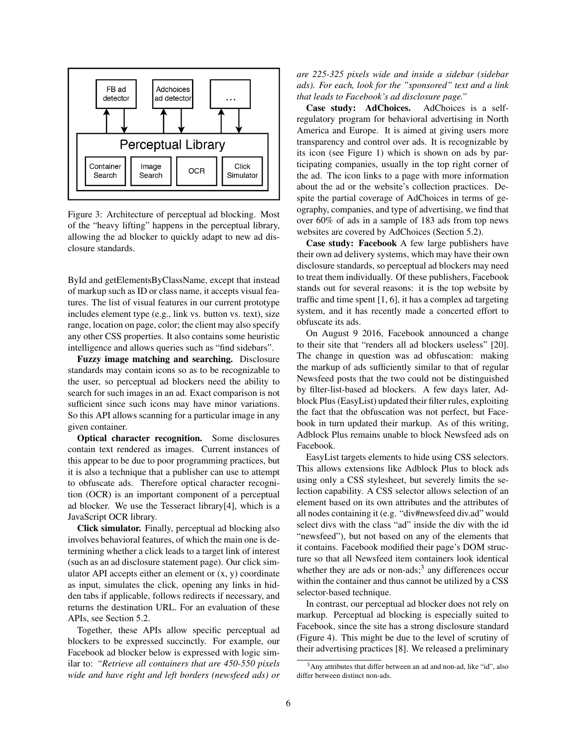<span id="page-5-0"></span>

Figure 3: Architecture of perceptual ad blocking. Most of the "heavy lifting" happens in the perceptual library, allowing the ad blocker to quickly adapt to new ad disclosure standards.

ById and getElementsByClassName, except that instead of markup such as ID or class name, it accepts visual features. The list of visual features in our current prototype includes element type (e.g., link vs. button vs. text), size range, location on page, color; the client may also specify any other CSS properties. It also contains some heuristic intelligence and allows queries such as "find sidebars".

Fuzzy image matching and searching. Disclosure standards may contain icons so as to be recognizable to the user, so perceptual ad blockers need the ability to search for such images in an ad. Exact comparison is not sufficient since such icons may have minor variations. So this API allows scanning for a particular image in any given container.

Optical character recognition. Some disclosures contain text rendered as images. Current instances of this appear to be due to poor programming practices, but it is also a technique that a publisher can use to attempt to obfuscate ads. Therefore optical character recognition (OCR) is an important component of a perceptual ad blocker. We use the Tesseract library[\[4\]](#page-14-25), which is a JavaScript OCR library.

Click simulator. Finally, perceptual ad blocking also involves behavioral features, of which the main one is determining whether a click leads to a target link of interest (such as an ad disclosure statement page). Our click simulator API accepts either an element or  $(x, y)$  coordinate as input, simulates the click, opening any links in hidden tabs if applicable, follows redirects if necessary, and returns the destination URL. For an evaluation of these APIs, see Section [5.2.](#page-11-0)

Together, these APIs allow specific perceptual ad blockers to be expressed succinctly. For example, our Facebook ad blocker below is expressed with logic similar to: *"Retrieve all containers that are 450-550 pixels wide and have right and left borders (newsfeed ads) or* *are 225-325 pixels wide and inside a sidebar (sidebar ads). For each, look for the "sponsored" text and a link that leads to Facebook's ad disclosure page."*

Case study: AdChoices. AdChoices is a selfregulatory program for behavioral advertising in North America and Europe. It is aimed at giving users more transparency and control over ads. It is recognizable by its icon (see Figure [1\)](#page-2-0) which is shown on ads by participating companies, usually in the top right corner of the ad. The icon links to a page with more information about the ad or the website's collection practices. Despite the partial coverage of AdChoices in terms of geography, companies, and type of advertising, we find that over 60% of ads in a sample of 183 ads from top news websites are covered by AdChoices (Section [5.2\)](#page-11-0).

Case study: Facebook A few large publishers have their own ad delivery systems, which may have their own disclosure standards, so perceptual ad blockers may need to treat them individually. Of these publishers, Facebook stands out for several reasons: it is the top website by traffic and time spent [\[1,](#page-13-0) [6\]](#page-14-26), it has a complex ad targeting system, and it has recently made a concerted effort to obfuscate its ads.

On August 9 2016, Facebook announced a change to their site that "renders all ad blockers useless" [\[20\]](#page-14-27). The change in question was ad obfuscation: making the markup of ads sufficiently similar to that of regular Newsfeed posts that the two could not be distinguished by filter-list-based ad blockers. A few days later, Adblock Plus (EasyList) updated their filter rules, exploiting the fact that the obfuscation was not perfect, but Facebook in turn updated their markup. As of this writing, Adblock Plus remains unable to block Newsfeed ads on Facebook.

EasyList targets elements to hide using CSS selectors. This allows extensions like Adblock Plus to block ads using only a CSS stylesheet, but severely limits the selection capability. A CSS selector allows selection of an element based on its own attributes and the attributes of all nodes containing it (e.g. "div#newsfeed div.ad" would select divs with the class "ad" inside the div with the id "newsfeed"), but not based on any of the elements that it contains. Facebook modified their page's DOM structure so that all Newsfeed item containers look identical whether they are ads or non-ads;<sup>[3](#page-5-1)</sup> any differences occur within the container and thus cannot be utilized by a CSS selector-based technique.

In contrast, our perceptual ad blocker does not rely on markup. Perceptual ad blocking is especially suited to Facebook, since the site has a strong disclosure standard (Figure [4\)](#page-6-0). This might be due to the level of scrutiny of their advertising practices [\[8\]](#page-14-28). We released a preliminary

<span id="page-5-1"></span><sup>&</sup>lt;sup>3</sup>Any attributes that differ between an ad and non-ad, like "id", also differ between distinct non-ads.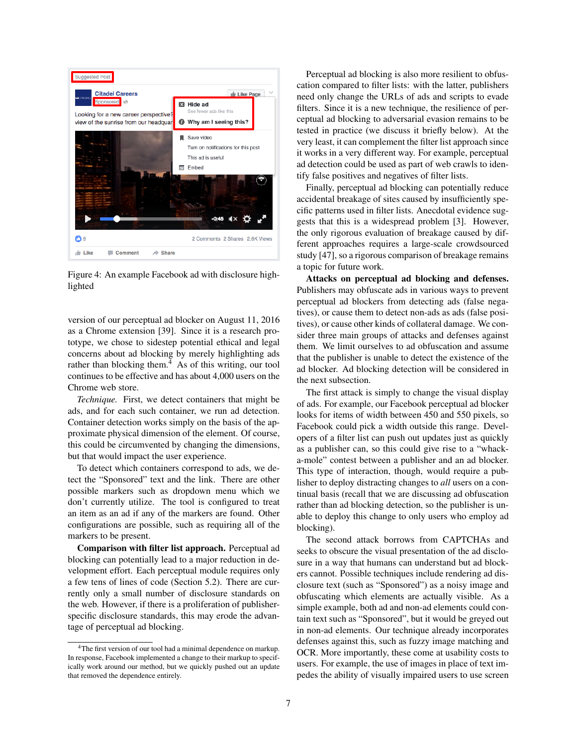<span id="page-6-0"></span>

Figure 4: An example Facebook ad with disclosure highlighted

version of our perceptual ad blocker on August 11, 2016 as a Chrome extension [\[39\]](#page-14-29). Since it is a research prototype, we chose to sidestep potential ethical and legal concerns about ad blocking by merely highlighting ads rather than blocking them. $4$  As of this writing, our tool continues to be effective and has about 4,000 users on the Chrome web store.

*Technique.* First, we detect containers that might be ads, and for each such container, we run ad detection. Container detection works simply on the basis of the approximate physical dimension of the element. Of course, this could be circumvented by changing the dimensions, but that would impact the user experience.

To detect which containers correspond to ads, we detect the "Sponsored" text and the link. There are other possible markers such as dropdown menu which we don't currently utilize. The tool is configured to treat an item as an ad if any of the markers are found. Other configurations are possible, such as requiring all of the markers to be present.

Comparison with filter list approach. Perceptual ad blocking can potentially lead to a major reduction in development effort. Each perceptual module requires only a few tens of lines of code (Section [5.2\)](#page-11-0). There are currently only a small number of disclosure standards on the web. However, if there is a proliferation of publisherspecific disclosure standards, this may erode the advantage of perceptual ad blocking.

Perceptual ad blocking is also more resilient to obfuscation compared to filter lists: with the latter, publishers need only change the URLs of ads and scripts to evade filters. Since it is a new technique, the resilience of perceptual ad blocking to adversarial evasion remains to be tested in practice (we discuss it briefly below). At the very least, it can complement the filter list approach since it works in a very different way. For example, perceptual ad detection could be used as part of web crawls to identify false positives and negatives of filter lists.

Finally, perceptual ad blocking can potentially reduce accidental breakage of sites caused by insufficiently specific patterns used in filter lists. Anecdotal evidence suggests that this is a widespread problem [\[3\]](#page-13-1). However, the only rigorous evaluation of breakage caused by different approaches requires a large-scale crowdsourced study [\[47\]](#page-15-3), so a rigorous comparison of breakage remains a topic for future work.

Attacks on perceptual ad blocking and defenses. Publishers may obfuscate ads in various ways to prevent perceptual ad blockers from detecting ads (false negatives), or cause them to detect non-ads as ads (false positives), or cause other kinds of collateral damage. We consider three main groups of attacks and defenses against them. We limit ourselves to ad obfuscation and assume that the publisher is unable to detect the existence of the ad blocker. Ad blocking detection will be considered in the next subsection.

The first attack is simply to change the visual display of ads. For example, our Facebook perceptual ad blocker looks for items of width between 450 and 550 pixels, so Facebook could pick a width outside this range. Developers of a filter list can push out updates just as quickly as a publisher can, so this could give rise to a "whacka-mole" contest between a publisher and an ad blocker. This type of interaction, though, would require a publisher to deploy distracting changes to *all* users on a continual basis (recall that we are discussing ad obfuscation rather than ad blocking detection, so the publisher is unable to deploy this change to only users who employ ad blocking).

The second attack borrows from CAPTCHAs and seeks to obscure the visual presentation of the ad disclosure in a way that humans can understand but ad blockers cannot. Possible techniques include rendering ad disclosure text (such as "Sponsored") as a noisy image and obfuscating which elements are actually visible. As a simple example, both ad and non-ad elements could contain text such as "Sponsored", but it would be greyed out in non-ad elements. Our technique already incorporates defenses against this, such as fuzzy image matching and OCR. More importantly, these come at usability costs to users. For example, the use of images in place of text impedes the ability of visually impaired users to use screen

<span id="page-6-1"></span><sup>4</sup>The first version of our tool had a minimal dependence on markup. In response, Facebook implemented a change to their markup to specifically work around our method, but we quickly pushed out an update that removed the dependence entirely.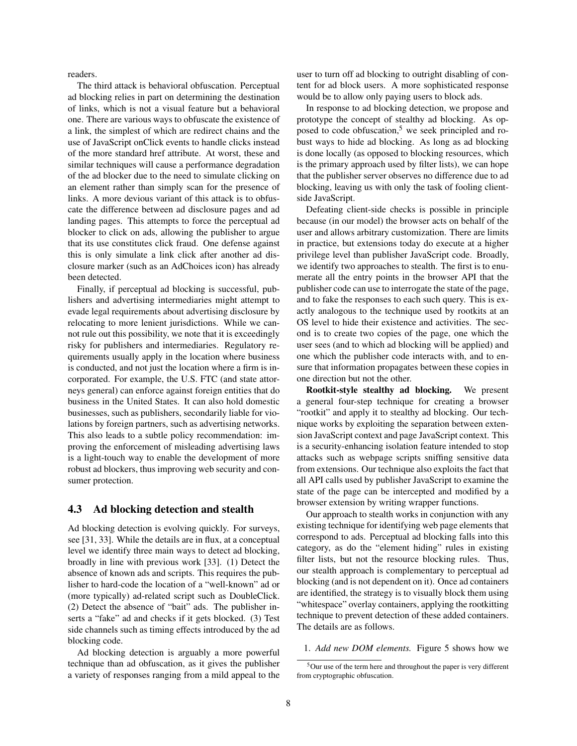readers.

The third attack is behavioral obfuscation. Perceptual ad blocking relies in part on determining the destination of links, which is not a visual feature but a behavioral one. There are various ways to obfuscate the existence of a link, the simplest of which are redirect chains and the use of JavaScript onClick events to handle clicks instead of the more standard href attribute. At worst, these and similar techniques will cause a performance degradation of the ad blocker due to the need to simulate clicking on an element rather than simply scan for the presence of links. A more devious variant of this attack is to obfuscate the difference between ad disclosure pages and ad landing pages. This attempts to force the perceptual ad blocker to click on ads, allowing the publisher to argue that its use constitutes click fraud. One defense against this is only simulate a link click after another ad disclosure marker (such as an AdChoices icon) has already been detected.

Finally, if perceptual ad blocking is successful, publishers and advertising intermediaries might attempt to evade legal requirements about advertising disclosure by relocating to more lenient jurisdictions. While we cannot rule out this possibility, we note that it is exceedingly risky for publishers and intermediaries. Regulatory requirements usually apply in the location where business is conducted, and not just the location where a firm is incorporated. For example, the U.S. FTC (and state attorneys general) can enforce against foreign entities that do business in the United States. It can also hold domestic businesses, such as publishers, secondarily liable for violations by foreign partners, such as advertising networks. This also leads to a subtle policy recommendation: improving the enforcement of misleading advertising laws is a light-touch way to enable the development of more robust ad blockers, thus improving web security and consumer protection.

#### <span id="page-7-0"></span>4.3 Ad blocking detection and stealth

Ad blocking detection is evolving quickly. For surveys, see [\[31,](#page-14-16) [33\]](#page-14-17). While the details are in flux, at a conceptual level we identify three main ways to detect ad blocking, broadly in line with previous work [\[33\]](#page-14-17). (1) Detect the absence of known ads and scripts. This requires the publisher to hard-code the location of a "well-known" ad or (more typically) ad-related script such as DoubleClick. (2) Detect the absence of "bait" ads. The publisher inserts a "fake" ad and checks if it gets blocked. (3) Test side channels such as timing effects introduced by the ad blocking code.

Ad blocking detection is arguably a more powerful technique than ad obfuscation, as it gives the publisher a variety of responses ranging from a mild appeal to the user to turn off ad blocking to outright disabling of content for ad block users. A more sophisticated response would be to allow only paying users to block ads.

In response to ad blocking detection, we propose and prototype the concept of stealthy ad blocking. As op-posed to code obfuscation,<sup>[5](#page-7-1)</sup> we seek principled and robust ways to hide ad blocking. As long as ad blocking is done locally (as opposed to blocking resources, which is the primary approach used by filter lists), we can hope that the publisher server observes no difference due to ad blocking, leaving us with only the task of fooling clientside JavaScript.

Defeating client-side checks is possible in principle because (in our model) the browser acts on behalf of the user and allows arbitrary customization. There are limits in practice, but extensions today do execute at a higher privilege level than publisher JavaScript code. Broadly, we identify two approaches to stealth. The first is to enumerate all the entry points in the browser API that the publisher code can use to interrogate the state of the page, and to fake the responses to each such query. This is exactly analogous to the technique used by rootkits at an OS level to hide their existence and activities. The second is to create two copies of the page, one which the user sees (and to which ad blocking will be applied) and one which the publisher code interacts with, and to ensure that information propagates between these copies in one direction but not the other.

Rootkit-style stealthy ad blocking. We present a general four-step technique for creating a browser "rootkit" and apply it to stealthy ad blocking. Our technique works by exploiting the separation between extension JavaScript context and page JavaScript context. This is a security-enhancing isolation feature intended to stop attacks such as webpage scripts sniffing sensitive data from extensions. Our technique also exploits the fact that all API calls used by publisher JavaScript to examine the state of the page can be intercepted and modified by a browser extension by writing wrapper functions.

Our approach to stealth works in conjunction with any existing technique for identifying web page elements that correspond to ads. Perceptual ad blocking falls into this category, as do the "element hiding" rules in existing filter lists, but not the resource blocking rules. Thus, our stealth approach is complementary to perceptual ad blocking (and is not dependent on it). Once ad containers are identified, the strategy is to visually block them using "whitespace" overlay containers, applying the rootkitting technique to prevent detection of these added containers. The details are as follows.

1. *Add new DOM elements.* Figure [5](#page-8-0) shows how we

<span id="page-7-1"></span><sup>5</sup>Our use of the term here and throughout the paper is very different from cryptographic obfuscation.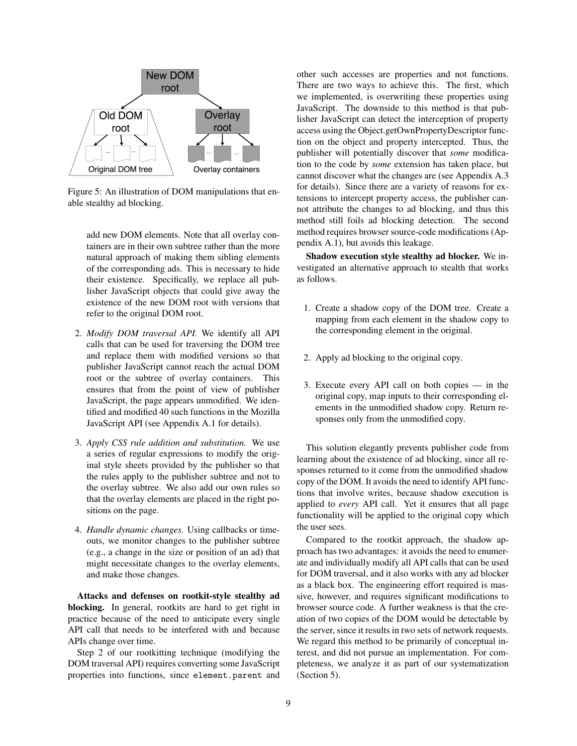<span id="page-8-0"></span>

Figure 5: An illustration of DOM manipulations that enable stealthy ad blocking.

add new DOM elements. Note that all overlay containers are in their own subtree rather than the more natural approach of making them sibling elements of the corresponding ads. This is necessary to hide their existence. Specifically, we replace all publisher JavaScript objects that could give away the existence of the new DOM root with versions that refer to the original DOM root.

- 2. *Modify DOM traversal API.* We identify all API calls that can be used for traversing the DOM tree and replace them with modified versions so that publisher JavaScript cannot reach the actual DOM root or the subtree of overlay containers. This ensures that from the point of view of publisher JavaScript, the page appears unmodified. We identified and modified 40 such functions in the Mozilla JavaScript API (see Appendix [A.1](#page-16-0) for details).
- 3. *Apply CSS rule addition and substitution.* We use a series of regular expressions to modify the original style sheets provided by the publisher so that the rules apply to the publisher subtree and not to the overlay subtree. We also add our own rules so that the overlay elements are placed in the right positions on the page.
- 4. *Handle dynamic changes.* Using callbacks or timeouts, we monitor changes to the publisher subtree (e.g., a change in the size or position of an ad) that might necessitate changes to the overlay elements, and make those changes.

Attacks and defenses on rootkit-style stealthy ad blocking. In general, rootkits are hard to get right in practice because of the need to anticipate every single API call that needs to be interfered with and because APIs change over time.

Step 2 of our rootkitting technique (modifying the DOM traversal API) requires converting some JavaScript properties into functions, since element.parent and other such accesses are properties and not functions. There are two ways to achieve this. The first, which we implemented, is overwriting these properties using JavaScript. The downside to this method is that publisher JavaScript can detect the interception of property access using the Object.getOwnPropertyDescriptor function on the object and property intercepted. Thus, the publisher will potentially discover that *some* modification to the code by *some* extension has taken place, but cannot discover what the changes are (see Appendix [A.3](#page-16-1) for details). Since there are a variety of reasons for extensions to intercept property access, the publisher cannot attribute the changes to ad blocking, and thus this method still foils ad blocking detection. The second method requires browser source-code modifications (Appendix [A.1\)](#page-16-0), but avoids this leakage.

Shadow execution style stealthy ad blocker. We investigated an alternative approach to stealth that works as follows.

- 1. Create a shadow copy of the DOM tree. Create a mapping from each element in the shadow copy to the corresponding element in the original.
- 2. Apply ad blocking to the original copy.
- 3. Execute every API call on both copies in the original copy, map inputs to their corresponding elements in the unmodified shadow copy. Return responses only from the unmodified copy.

This solution elegantly prevents publisher code from learning about the existence of ad blocking, since all responses returned to it come from the unmodified shadow copy of the DOM. It avoids the need to identify API functions that involve writes, because shadow execution is applied to *every* API call. Yet it ensures that all page functionality will be applied to the original copy which the user sees.

Compared to the rootkit approach, the shadow approach has two advantages: it avoids the need to enumerate and individually modify all API calls that can be used for DOM traversal, and it also works with any ad blocker as a black box. The engineering effort required is massive, however, and requires significant modifications to browser source code. A further weakness is that the creation of two copies of the DOM would be detectable by the server, since it results in two sets of network requests. We regard this method to be primarily of conceptual interest, and did not pursue an implementation. For completeness, we analyze it as part of our systematization (Section [5\)](#page-9-0).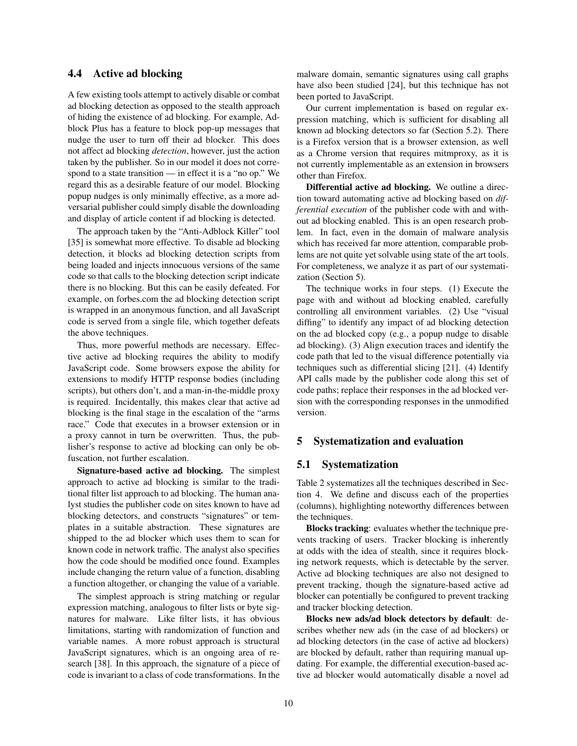## 4.4 Active ad blocking

A few existing tools attempt to actively disable or combat ad blocking detection as opposed to the stealth approach of hiding the existence of ad blocking. For example, Adblock Plus has a feature to block pop-up messages that nudge the user to turn off their ad blocker. This does not affect ad blocking *detection*, however, just the action taken by the publisher. So in our model it does not correspond to a state transition — in effect it is a "no op." We regard this as a desirable feature of our model. Blocking popup nudges is only minimally effective, as a more adversarial publisher could simply disable the downloading and display of article content if ad blocking is detected.

The approach taken by the "Anti-Adblock Killer" tool [\[35\]](#page-14-18) is somewhat more effective. To disable ad blocking detection, it blocks ad blocking detection scripts from being loaded and injects innocuous versions of the same code so that calls to the blocking detection script indicate there is no blocking. But this can be easily defeated. For example, on forbes.com the ad blocking detection script is wrapped in an anonymous function, and all JavaScript code is served from a single file, which together defeats the above techniques.

Thus, more powerful methods are necessary. Effective active ad blocking requires the ability to modify JavaScript code. Some browsers expose the ability for extensions to modify HTTP response bodies (including scripts), but others don't, and a man-in-the-middle proxy is required. Incidentally, this makes clear that active ad blocking is the final stage in the escalation of the "arms race." Code that executes in a browser extension or in a proxy cannot in turn be overwritten. Thus, the publisher's response to active ad blocking can only be obfuscation, not further escalation.

Signature-based active ad blocking. The simplest approach to active ad blocking is similar to the traditional filter list approach to ad blocking. The human analyst studies the publisher code on sites known to have ad blocking detectors, and constructs "signatures" or templates in a suitable abstraction. These signatures are shipped to the ad blocker which uses them to scan for known code in network traffic. The analyst also specifies how the code should be modified once found. Examples include changing the return value of a function, disabling a function altogether, or changing the value of a variable.

The simplest approach is string matching or regular expression matching, analogous to filter lists or byte signatures for malware. Like filter lists, it has obvious limitations, starting with randomization of function and variable names. A more robust approach is structural JavaScript signatures, which is an ongoing area of research [\[38\]](#page-14-30). In this approach, the signature of a piece of code is invariant to a class of code transformations. In the malware domain, semantic signatures using call graphs have also been studied [\[24\]](#page-14-31), but this technique has not been ported to JavaScript.

Our current implementation is based on regular expression matching, which is sufficient for disabling all known ad blocking detectors so far (Section [5.2\)](#page-11-0). There is a Firefox version that is a browser extension, as well as a Chrome version that requires mitmproxy, as it is not currently implementable as an extension in browsers other than Firefox.

Differential active ad blocking. We outline a direction toward automating active ad blocking based on *differential execution* of the publisher code with and without ad blocking enabled. This is an open research problem. In fact, even in the domain of malware analysis which has received far more attention, comparable problems are not quite yet solvable using state of the art tools. For completeness, we analyze it as part of our systematization (Section [5\)](#page-9-0).

The technique works in four steps. (1) Execute the page with and without ad blocking enabled, carefully controlling all environment variables. (2) Use "visual diffing" to identify any impact of ad blocking detection on the ad blocked copy (e.g., a popup nudge to disable ad blocking). (3) Align execution traces and identify the code path that led to the visual difference potentially via techniques such as differential slicing [\[21\]](#page-14-32). (4) Identify API calls made by the publisher code along this set of code paths; replace their responses in the ad blocked version with the corresponding responses in the unmodified version.

#### <span id="page-9-0"></span>5 Systematization and evaluation

#### 5.1 Systematization

Table [2](#page-10-0) systematizes all the techniques described in Section [4.](#page-3-1) We define and discuss each of the properties (columns), highlighting noteworthy differences between the techniques.

Blocks tracking: evaluates whether the technique prevents tracking of users. Tracker blocking is inherently at odds with the idea of stealth, since it requires blocking network requests, which is detectable by the server. Active ad blocking techniques are also not designed to prevent tracking, though the signature-based active ad blocker can potentially be configured to prevent tracking and tracker blocking detection.

Blocks new ads/ad block detectors by default: describes whether new ads (in the case of ad blockers) or ad blocking detectors (in the case of active ad blockers) are blocked by default, rather than requiring manual updating. For example, the differential execution-based active ad blocker would automatically disable a novel ad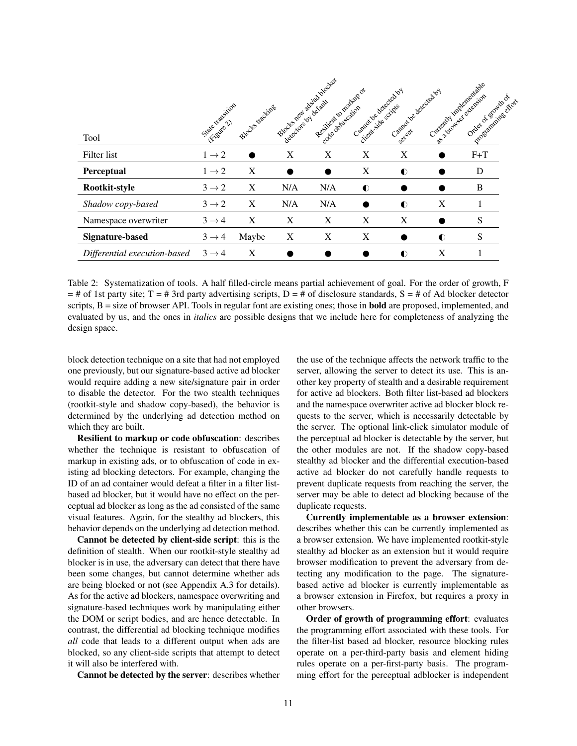<span id="page-10-0"></span>

|                              |                                 |                 | Blacks new deliaboracters | Resilient to matern of | Campbe deededed by | Campa ve decesed by | Currently into emergence | Order of storth of                           |
|------------------------------|---------------------------------|-----------------|---------------------------|------------------------|--------------------|---------------------|--------------------------|----------------------------------------------|
| <b>Tool</b>                  | State transition<br>Filetine 2) | Blocks tracking | decement of defail        | cade offuscation       | citerists sciences | Server              |                          | sa broughs of creation<br>Programming offer. |
| Filter list                  | $1 \rightarrow 2$               |                 | X                         | X                      | X                  | X                   |                          | $F+T$                                        |
| <b>Perceptual</b>            | $1 \rightarrow 2$               | X               |                           |                        | X                  | $\bullet$           |                          | D                                            |
| Rootkit-style                | $3 \rightarrow 2$               | X               | N/A                       | N/A                    | $\bullet$          |                     |                          | B                                            |
| Shadow copy-based            | $3 \rightarrow 2$               | X               | N/A                       | N/A                    |                    | $\bullet$           | X                        |                                              |
| Namespace overwriter         | $3 \rightarrow 4$               | X               | X                         | X                      | X                  | X                   |                          | S                                            |
| Signature-based              | $3 \rightarrow 4$               | Maybe           | X                         | X                      | X                  |                     | $\bullet$                | S                                            |
| Differential execution-based | $3 \rightarrow 4$               | X               |                           |                        |                    | $\bullet$           | X                        |                                              |

Table 2: Systematization of tools. A half filled-circle means partial achievement of goal. For the order of growth, F  $=$  # of 1st party site; T = # 3rd party advertising scripts, D = # of disclosure standards, S = # of Ad blocker detector scripts, B = size of browser API. Tools in regular font are existing ones; those in **bold** are proposed, implemented, and evaluated by us, and the ones in *italics* are possible designs that we include here for completeness of analyzing the design space.

block detection technique on a site that had not employed one previously, but our signature-based active ad blocker would require adding a new site/signature pair in order to disable the detector. For the two stealth techniques (rootkit-style and shadow copy-based), the behavior is determined by the underlying ad detection method on which they are built.

Resilient to markup or code obfuscation: describes whether the technique is resistant to obfuscation of markup in existing ads, or to obfuscation of code in existing ad blocking detectors. For example, changing the ID of an ad container would defeat a filter in a filter listbased ad blocker, but it would have no effect on the perceptual ad blocker as long as the ad consisted of the same visual features. Again, for the stealthy ad blockers, this behavior depends on the underlying ad detection method.

Cannot be detected by client-side script: this is the definition of stealth. When our rootkit-style stealthy ad blocker is in use, the adversary can detect that there have been some changes, but cannot determine whether ads are being blocked or not (see Appendix [A.3](#page-16-1) for details). As for the active ad blockers, namespace overwriting and signature-based techniques work by manipulating either the DOM or script bodies, and are hence detectable. In contrast, the differential ad blocking technique modifies *all* code that leads to a different output when ads are blocked, so any client-side scripts that attempt to detect it will also be interfered with.

Cannot be detected by the server: describes whether

the use of the technique affects the network traffic to the server, allowing the server to detect its use. This is another key property of stealth and a desirable requirement for active ad blockers. Both filter list-based ad blockers and the namespace overwriter active ad blocker block requests to the server, which is necessarily detectable by the server. The optional link-click simulator module of the perceptual ad blocker is detectable by the server, but the other modules are not. If the shadow copy-based stealthy ad blocker and the differential execution-based active ad blocker do not carefully handle requests to prevent duplicate requests from reaching the server, the server may be able to detect ad blocking because of the duplicate requests.

Currently implementable as a browser extension: describes whether this can be currently implemented as a browser extension. We have implemented rootkit-style stealthy ad blocker as an extension but it would require browser modification to prevent the adversary from detecting any modification to the page. The signaturebased active ad blocker is currently implementable as a browser extension in Firefox, but requires a proxy in other browsers.

Order of growth of programming effort: evaluates the programming effort associated with these tools. For the filter-list based ad blocker, resource blocking rules operate on a per-third-party basis and element hiding rules operate on a per-first-party basis. The programming effort for the perceptual adblocker is independent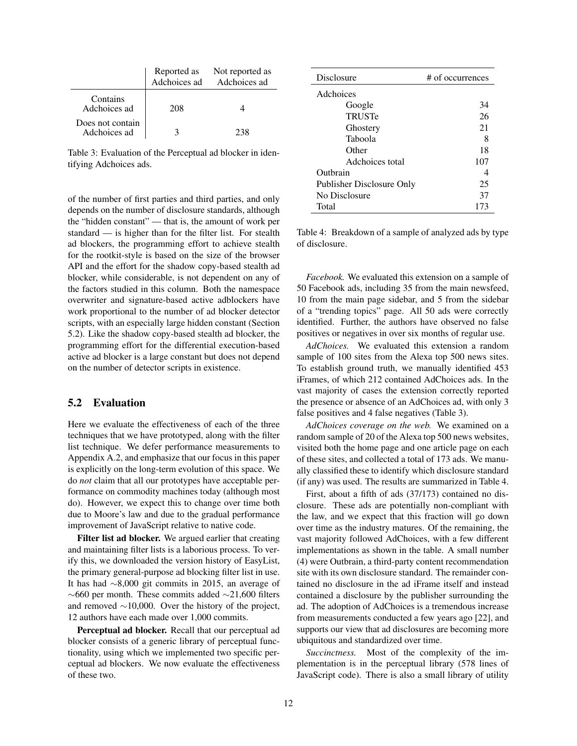<span id="page-11-1"></span>

|                                  | Reported as<br>Adchoices ad | Not reported as<br>Adchoices ad |
|----------------------------------|-----------------------------|---------------------------------|
| Contains<br>Adchoices ad         | 208                         |                                 |
| Does not contain<br>Adchoices ad |                             | 238                             |

Table 3: Evaluation of the Perceptual ad blocker in identifying Adchoices ads.

of the number of first parties and third parties, and only depends on the number of disclosure standards, although the "hidden constant" — that is, the amount of work per standard — is higher than for the filter list. For stealth ad blockers, the programming effort to achieve stealth for the rootkit-style is based on the size of the browser API and the effort for the shadow copy-based stealth ad blocker, while considerable, is not dependent on any of the factors studied in this column. Both the namespace overwriter and signature-based active adblockers have work proportional to the number of ad blocker detector scripts, with an especially large hidden constant (Section 5.2). Like the shadow copy-based stealth ad blocker, the programming effort for the differential execution-based active ad blocker is a large constant but does not depend on the number of detector scripts in existence.

## <span id="page-11-0"></span>5.2 Evaluation

Here we evaluate the effectiveness of each of the three techniques that we have prototyped, along with the filter list technique. We defer performance measurements to Appendix [A.2,](#page-16-2) and emphasize that our focus in this paper is explicitly on the long-term evolution of this space. We do *not* claim that all our prototypes have acceptable performance on commodity machines today (although most do). However, we expect this to change over time both due to Moore's law and due to the gradual performance improvement of JavaScript relative to native code.

Filter list ad blocker. We argued earlier that creating and maintaining filter lists is a laborious process. To verify this, we downloaded the version history of EasyList, the primary general-purpose ad blocking filter list in use. It has had ∼8,000 git commits in 2015, an average of  $~\sim$ 660 per month. These commits added  $~\sim$ 21,600 filters and removed ∼10,000. Over the history of the project, 12 authors have each made over 1,000 commits.

Perceptual ad blocker. Recall that our perceptual ad blocker consists of a generic library of perceptual functionality, using which we implemented two specific perceptual ad blockers. We now evaluate the effectiveness of these two.

<span id="page-11-2"></span>

| Disclosure                | # of occurrences |  |  |
|---------------------------|------------------|--|--|
| Adchoices                 |                  |  |  |
| Google                    | 34               |  |  |
| <b>TRUSTe</b>             | 26               |  |  |
| Ghostery                  | 21               |  |  |
| Taboola                   | 8                |  |  |
| Other                     | 18               |  |  |
| Adchoices total           | 107              |  |  |
| Outbrain                  |                  |  |  |
| Publisher Disclosure Only | 25               |  |  |
| No Disclosure             | 37               |  |  |
| Total                     | 173              |  |  |

Table 4: Breakdown of a sample of analyzed ads by type of disclosure.

*Facebook.* We evaluated this extension on a sample of 50 Facebook ads, including 35 from the main newsfeed, 10 from the main page sidebar, and 5 from the sidebar of a "trending topics" page. All 50 ads were correctly identified. Further, the authors have observed no false positives or negatives in over six months of regular use.

*AdChoices.* We evaluated this extension a random sample of 100 sites from the Alexa top 500 news sites. To establish ground truth, we manually identified 453 iFrames, of which 212 contained AdChoices ads. In the vast majority of cases the extension correctly reported the presence or absence of an AdChoices ad, with only 3 false positives and 4 false negatives (Table [3\)](#page-11-1).

*AdChoices coverage on the web.* We examined on a random sample of 20 of the Alexa top 500 news websites, visited both the home page and one article page on each of these sites, and collected a total of 173 ads. We manually classified these to identify which disclosure standard (if any) was used. The results are summarized in Table [4.](#page-11-2)

First, about a fifth of ads (37/173) contained no disclosure. These ads are potentially non-compliant with the law, and we expect that this fraction will go down over time as the industry matures. Of the remaining, the vast majority followed AdChoices, with a few different implementations as shown in the table. A small number (4) were Outbrain, a third-party content recommendation site with its own disclosure standard. The remainder contained no disclosure in the ad iFrame itself and instead contained a disclosure by the publisher surrounding the ad. The adoption of AdChoices is a tremendous increase from measurements conducted a few years ago [\[22\]](#page-14-33), and supports our view that ad disclosures are becoming more ubiquitous and standardized over time.

*Succinctness.* Most of the complexity of the implementation is in the perceptual library (578 lines of JavaScript code). There is also a small library of utility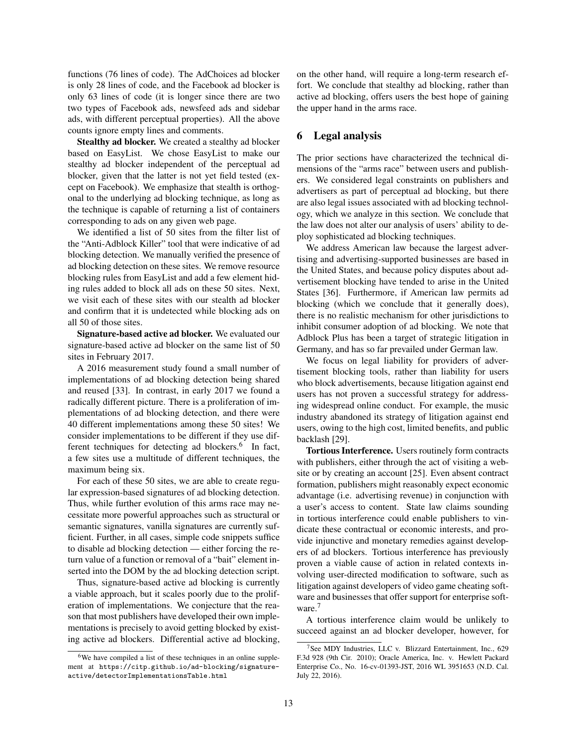functions (76 lines of code). The AdChoices ad blocker is only 28 lines of code, and the Facebook ad blocker is only 63 lines of code (it is longer since there are two two types of Facebook ads, newsfeed ads and sidebar ads, with different perceptual properties). All the above counts ignore empty lines and comments.

Stealthy ad blocker. We created a stealthy ad blocker based on EasyList. We chose EasyList to make our stealthy ad blocker independent of the perceptual ad blocker, given that the latter is not yet field tested (except on Facebook). We emphasize that stealth is orthogonal to the underlying ad blocking technique, as long as the technique is capable of returning a list of containers corresponding to ads on any given web page.

We identified a list of 50 sites from the filter list of the "Anti-Adblock Killer" tool that were indicative of ad blocking detection. We manually verified the presence of ad blocking detection on these sites. We remove resource blocking rules from EasyList and add a few element hiding rules added to block all ads on these 50 sites. Next, we visit each of these sites with our stealth ad blocker and confirm that it is undetected while blocking ads on all 50 of those sites.

Signature-based active ad blocker. We evaluated our signature-based active ad blocker on the same list of 50 sites in February 2017.

A 2016 measurement study found a small number of implementations of ad blocking detection being shared and reused [\[33\]](#page-14-17). In contrast, in early 2017 we found a radically different picture. There is a proliferation of implementations of ad blocking detection, and there were 40 different implementations among these 50 sites! We consider implementations to be different if they use dif-ferent techniques for detecting ad blockers.<sup>[6](#page-12-0)</sup> In fact, a few sites use a multitude of different techniques, the maximum being six.

For each of these 50 sites, we are able to create regular expression-based signatures of ad blocking detection. Thus, while further evolution of this arms race may necessitate more powerful approaches such as structural or semantic signatures, vanilla signatures are currently sufficient. Further, in all cases, simple code snippets suffice to disable ad blocking detection — either forcing the return value of a function or removal of a "bait" element inserted into the DOM by the ad blocking detection script.

Thus, signature-based active ad blocking is currently a viable approach, but it scales poorly due to the proliferation of implementations. We conjecture that the reason that most publishers have developed their own implementations is precisely to avoid getting blocked by existing active ad blockers. Differential active ad blocking,

<span id="page-12-0"></span><sup>6</sup>We have compiled a list of these techniques in an online supplement at [https://citp.github.io/ad-blocking/signature](https://citp.github.io/ad-blocking/signature-active/detectorImplementationsTable.html)[active/detectorImplementationsTable.html](https://citp.github.io/ad-blocking/signature-active/detectorImplementationsTable.html)

on the other hand, will require a long-term research effort. We conclude that stealthy ad blocking, rather than active ad blocking, offers users the best hope of gaining the upper hand in the arms race.

#### 6 Legal analysis

The prior sections have characterized the technical dimensions of the "arms race" between users and publishers. We considered legal constraints on publishers and advertisers as part of perceptual ad blocking, but there are also legal issues associated with ad blocking technology, which we analyze in this section. We conclude that the law does not alter our analysis of users' ability to deploy sophisticated ad blocking techniques.

We address American law because the largest advertising and advertising-supported businesses are based in the United States, and because policy disputes about advertisement blocking have tended to arise in the United States [\[36\]](#page-14-34). Furthermore, if American law permits ad blocking (which we conclude that it generally does), there is no realistic mechanism for other jurisdictions to inhibit consumer adoption of ad blocking. We note that Adblock Plus has been a target of strategic litigation in Germany, and has so far prevailed under German law.

We focus on legal liability for providers of advertisement blocking tools, rather than liability for users who block advertisements, because litigation against end users has not proven a successful strategy for addressing widespread online conduct. For example, the music industry abandoned its strategy of litigation against end users, owing to the high cost, limited benefits, and public backlash [\[29\]](#page-14-35).

Tortious Interference. Users routinely form contracts with publishers, either through the act of visiting a website or by creating an account [\[25\]](#page-14-36). Even absent contract formation, publishers might reasonably expect economic advantage (i.e. advertising revenue) in conjunction with a user's access to content. State law claims sounding in tortious interference could enable publishers to vindicate these contractual or economic interests, and provide injunctive and monetary remedies against developers of ad blockers. Tortious interference has previously proven a viable cause of action in related contexts involving user-directed modification to software, such as litigation against developers of video game cheating software and businesses that offer support for enterprise soft-ware.<sup>[7](#page-12-1)</sup>

A tortious interference claim would be unlikely to succeed against an ad blocker developer, however, for

<span id="page-12-1"></span><sup>7</sup>See MDY Industries, LLC v. Blizzard Entertainment, Inc., 629 F.3d 928 (9th Cir. 2010); Oracle America, Inc. v. Hewlett Packard Enterprise Co., No. 16-cv-01393-JST, 2016 WL 3951653 (N.D. Cal. July 22, 2016).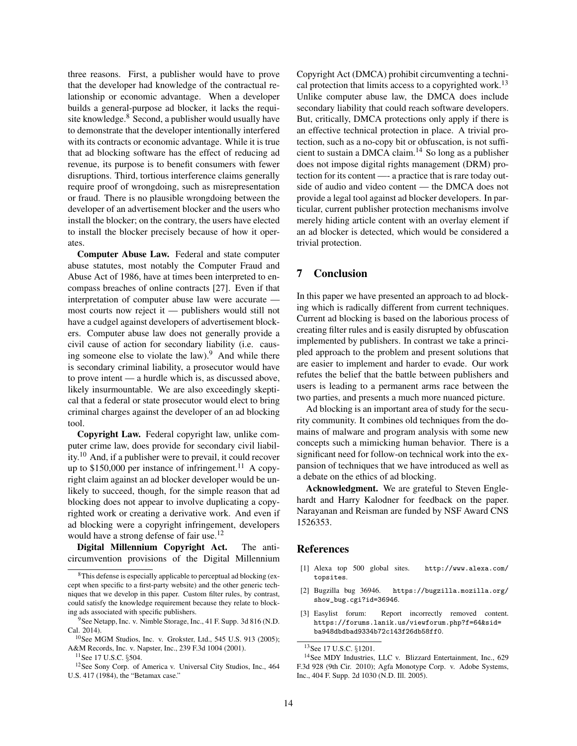three reasons. First, a publisher would have to prove that the developer had knowledge of the contractual relationship or economic advantage. When a developer builds a general-purpose ad blocker, it lacks the requi-site knowledge.<sup>[8](#page-13-2)</sup> Second, a publisher would usually have to demonstrate that the developer intentionally interfered with its contracts or economic advantage. While it is true that ad blocking software has the effect of reducing ad revenue, its purpose is to benefit consumers with fewer disruptions. Third, tortious interference claims generally require proof of wrongdoing, such as misrepresentation or fraud. There is no plausible wrongdoing between the developer of an advertisement blocker and the users who install the blocker; on the contrary, the users have elected to install the blocker precisely because of how it operates.

Computer Abuse Law. Federal and state computer abuse statutes, most notably the Computer Fraud and Abuse Act of 1986, have at times been interpreted to encompass breaches of online contracts [\[27\]](#page-14-37). Even if that interpretation of computer abuse law were accurate most courts now reject it — publishers would still not have a cudgel against developers of advertisement blockers. Computer abuse law does not generally provide a civil cause of action for secondary liability (i.e. causing someone else to violate the law). $9$  And while there is secondary criminal liability, a prosecutor would have to prove intent — a hurdle which is, as discussed above, likely insurmountable. We are also exceedingly skeptical that a federal or state prosecutor would elect to bring criminal charges against the developer of an ad blocking tool.

Copyright Law. Federal copyright law, unlike computer crime law, does provide for secondary civil liability.[10](#page-13-4) And, if a publisher were to prevail, it could recover up to  $$150,000$  per instance of infringement.<sup>[11](#page-13-5)</sup> A copyright claim against an ad blocker developer would be unlikely to succeed, though, for the simple reason that ad blocking does not appear to involve duplicating a copyrighted work or creating a derivative work. And even if ad blocking were a copyright infringement, developers would have a strong defense of fair use.<sup>[12](#page-13-6)</sup>

Digital Millennium Copyright Act. The anticircumvention provisions of the Digital Millennium Copyright Act (DMCA) prohibit circumventing a techni-cal protection that limits access to a copyrighted work.<sup>[13](#page-13-7)</sup> Unlike computer abuse law, the DMCA does include secondary liability that could reach software developers. But, critically, DMCA protections only apply if there is an effective technical protection in place. A trivial protection, such as a no-copy bit or obfuscation, is not suffi-cient to sustain a DMCA claim.<sup>[14](#page-13-8)</sup> So long as a publisher does not impose digital rights management (DRM) protection for its content —- a practice that is rare today outside of audio and video content — the DMCA does not provide a legal tool against ad blocker developers. In particular, current publisher protection mechanisms involve merely hiding article content with an overlay element if an ad blocker is detected, which would be considered a trivial protection.

## 7 Conclusion

In this paper we have presented an approach to ad blocking which is radically different from current techniques. Current ad blocking is based on the laborious process of creating filter rules and is easily disrupted by obfuscation implemented by publishers. In contrast we take a principled approach to the problem and present solutions that are easier to implement and harder to evade. Our work refutes the belief that the battle between publishers and users is leading to a permanent arms race between the two parties, and presents a much more nuanced picture.

Ad blocking is an important area of study for the security community. It combines old techniques from the domains of malware and program analysis with some new concepts such a mimicking human behavior. There is a significant need for follow-on technical work into the expansion of techniques that we have introduced as well as a debate on the ethics of ad blocking.

Acknowledgment. We are grateful to Steven Englehardt and Harry Kalodner for feedback on the paper. Narayanan and Reisman are funded by NSF Award CNS 1526353.

#### References

- <span id="page-13-0"></span>[1] Alexa top 500 global sites. [http://www.alexa.com/](http://www.alexa.com/topsites) [topsites](http://www.alexa.com/topsites).
- <span id="page-13-9"></span>[2] Bugzilla bug 36946. [https://bugzilla.mozilla.org/](https://bugzilla.mozilla.org/show_bug.cgi?id=36946) [show\\_bug.cgi?id=36946](https://bugzilla.mozilla.org/show_bug.cgi?id=36946).
- <span id="page-13-1"></span>[3] Easylist forum: Report incorrectly removed content. [https://forums.lanik.us/viewforum.php?f=64&sid=](https://forums.lanik.us/viewforum.php?f=64&sid=ba948dbdbad9334b72c143f26db58ff0) [ba948dbdbad9334b72c143f26db58ff0](https://forums.lanik.us/viewforum.php?f=64&sid=ba948dbdbad9334b72c143f26db58ff0).

<span id="page-13-2"></span> $8$ This defense is especially applicable to perceptual ad blocking (except when specific to a first-party website) and the other generic techniques that we develop in this paper. Custom filter rules, by contrast, could satisfy the knowledge requirement because they relate to blocking ads associated with specific publishers.

<span id="page-13-3"></span><sup>&</sup>lt;sup>9</sup>See Netapp, Inc. v. Nimble Storage, Inc., 41 F. Supp. 3d 816 (N.D. Cal. 2014).

<span id="page-13-4"></span> $10$ See MGM Studios, Inc. v. Grokster, Ltd., 545 U.S. 913 (2005); A&M Records, Inc. v. Napster, Inc., 239 F.3d 1004 (2001).

<span id="page-13-6"></span><span id="page-13-5"></span><sup>&</sup>lt;sup>11</sup>See 17 U.S.C. §504.

<sup>12</sup>See Sony Corp. of America v. Universal City Studios, Inc., 464 U.S. 417 (1984), the "Betamax case."

<span id="page-13-8"></span><span id="page-13-7"></span><sup>13</sup>See 17 U.S.C. §1201.

<sup>14</sup>See MDY Industries, LLC v. Blizzard Entertainment, Inc., 629 F.3d 928 (9th Cir. 2010); Agfa Monotype Corp. v. Adobe Systems, Inc., 404 F. Supp. 2d 1030 (N.D. Ill. 2005).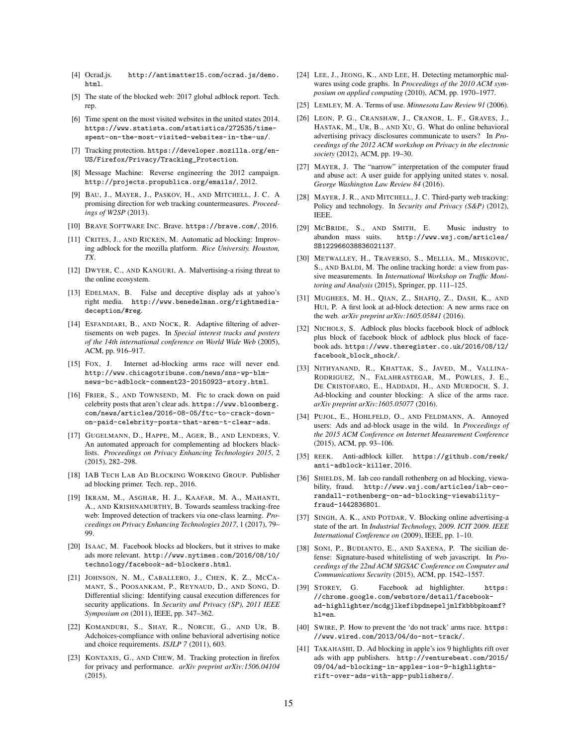- <span id="page-14-25"></span>[4] Ocrad.js. [http://antimatter15.com/ocrad.js/demo.](http://antimatter15.com/ocrad.js/demo.html) [html](http://antimatter15.com/ocrad.js/demo.html).
- <span id="page-14-7"></span>[5] The state of the blocked web: 2017 global adblock report. Tech. rep.
- <span id="page-14-26"></span>[6] Time spent on the most visited websites in the united states 2014. [https://www.statista.com/statistics/272535/time](https://www.statista.com/statistics/272535/time-spent-on-the-most-visited-websites-in-the-us/)[spent-on-the-most-visited-websites-in-the-us/](https://www.statista.com/statistics/272535/time-spent-on-the-most-visited-websites-in-the-us/).
- <span id="page-14-20"></span>[7] Tracking protection. [https://developer.mozilla.org/en-](https://developer.mozilla.org/en-US/Firefox/Privacy/Tracking_Protection)[US/Firefox/Privacy/Tracking\\_Protection](https://developer.mozilla.org/en-US/Firefox/Privacy/Tracking_Protection).
- <span id="page-14-28"></span>[8] Message Machine: Reverse engineering the 2012 campaign. <http://projects.propublica.org/emails/>, 2012.
- <span id="page-14-11"></span>[9] BAU, J., MAYER, J., PASKOV, H., AND MITCHELL, J. C. A promising direction for web tracking countermeasures. *Proceedings of W2SP* (2013).
- <span id="page-14-23"></span>[10] BRAVE SOFTWARE INC. Brave. <https://brave.com/>, 2016.
- <span id="page-14-10"></span>[11] CRITES, J., AND RICKEN, M. Automatic ad blocking: Improving adblock for the mozilla platform. *Rice University. Houston, TX*.
- <span id="page-14-4"></span>[12] DWYER, C., AND KANGURI, A. Malvertising-a rising threat to the online ecosystem.
- <span id="page-14-21"></span>[13] EDELMAN, B. False and deceptive display ads at yahoo's right media. [http://www.benedelman.org/rightmedia](http://www.benedelman.org/rightmedia-deception/#reg)[deception/#reg](http://www.benedelman.org/rightmedia-deception/#reg).
- <span id="page-14-9"></span>[14] ESFANDIARI, B., AND NOCK, R. Adaptive filtering of advertisements on web pages. In *Special interest tracks and posters of the 14th international conference on World Wide Web* (2005), ACM, pp. 916–917.
- <span id="page-14-1"></span>[15] Fox, J. Internet ad-blocking arms race will never end. [http://www.chicagotribune.com/news/sns-wp-blm](http://www.chicagotribune.com/news/sns-wp-blm-news-bc-adblock-comment23-20150923-story.html)[news-bc-adblock-comment23-20150923-story.html](http://www.chicagotribune.com/news/sns-wp-blm-news-bc-adblock-comment23-20150923-story.html).
- <span id="page-14-22"></span>[16] FRIER, S., AND TOWNSEND, M. Ftc to crack down on paid celebrity posts that aren't clear ads. [https://www.bloomberg.](https://www.bloomberg.com/news/articles/2016-08-05/ftc-to-crack-down-on-paid-celebrity-posts-that-aren-t-clear-ads) [com/news/articles/2016-08-05/ftc-to-crack-down](https://www.bloomberg.com/news/articles/2016-08-05/ftc-to-crack-down-on-paid-celebrity-posts-that-aren-t-clear-ads)[on-paid-celebrity-posts-that-aren-t-clear-ads](https://www.bloomberg.com/news/articles/2016-08-05/ftc-to-crack-down-on-paid-celebrity-posts-that-aren-t-clear-ads).
- <span id="page-14-8"></span>[17] GUGELMANN, D., HAPPE, M., AGER, B., AND LENDERS, V. An automated approach for complementing ad blockers blacklists. *Proceedings on Privacy Enhancing Technologies 2015*, 2 (2015), 282–298.
- <span id="page-14-15"></span>[18] IAB TECH LAB AD BLOCKING WORKING GROUP. Publisher ad blocking primer. Tech. rep., 2016.
- <span id="page-14-12"></span>[19] IKRAM, M., ASGHAR, H. J., KAAFAR, M. A., MAHANTI, A., AND KRISHNAMURTHY, B. Towards seamless tracking-free web: Improved detection of trackers via one-class learning. *Proceedings on Privacy Enhancing Technologies 2017*, 1 (2017), 79– 99.
- <span id="page-14-27"></span>[20] ISAAC, M. Facebook blocks ad blockers, but it strives to make ads more relevant. [http://www.nytimes.com/2016/08/10/](http://www.nytimes.com/2016/08/10/technology/facebook-ad-blockers.html) [technology/facebook-ad-blockers.html](http://www.nytimes.com/2016/08/10/technology/facebook-ad-blockers.html).
- <span id="page-14-32"></span>[21] JOHNSON, N. M., CABALLERO, J., CHEN, K. Z., MCCA-MANT, S., POOSANKAM, P., REYNAUD, D., AND SONG, D. Differential slicing: Identifying causal execution differences for security applications. In *Security and Privacy (SP), 2011 IEEE Symposium on* (2011), IEEE, pp. 347–362.
- <span id="page-14-33"></span>[22] KOMANDURI, S., SHAY, R., NORCIE, G., AND UR, B. Adchoices-compliance with online behavioral advertising notice and choice requirements. *ISJLP 7* (2011), 603.
- <span id="page-14-3"></span>[23] KONTAXIS, G., AND CHEW, M. Tracking protection in firefox for privacy and performance. *arXiv preprint arXiv:1506.04104* (2015).
- <span id="page-14-31"></span>[24] LEE, J., JEONG, K., AND LEE, H. Detecting metamorphic malwares using code graphs. In *Proceedings of the 2010 ACM symposium on applied computing* (2010), ACM, pp. 1970–1977.
- <span id="page-14-36"></span>[25] LEMLEY, M. A. Terms of use. *Minnesota Law Review 91* (2006).
- <span id="page-14-24"></span>[26] LEON, P. G., CRANSHAW, J., CRANOR, L. F., GRAVES, J., HASTAK, M., UR, B., AND XU, G. What do online behavioral advertising privacy disclosures communicate to users? In *Proceedings of the 2012 ACM workshop on Privacy in the electronic society* (2012), ACM, pp. 19–30.
- <span id="page-14-37"></span>[27] MAYER, J. The "narrow" interpretation of the computer fraud and abuse act: A user guide for applying united states v. nosal. *George Washington Law Review 84* (2016).
- <span id="page-14-14"></span>[28] MAYER, J. R., AND MITCHELL, J. C. Third-party web tracking: Policy and technology. In *Security and Privacy (S&P)* (2012), IEEE.
- <span id="page-14-35"></span>[29] MCBRIDE, S., AND SMITH, E. Music industry to abandon mass suits. [http://www.wsj.com/articles/](http://www.wsj.com/articles/SB122966038836021137) [SB122966038836021137](http://www.wsj.com/articles/SB122966038836021137).
- <span id="page-14-6"></span>[30] METWALLEY, H., TRAVERSO, S., MELLIA, M., MISKOVIC, S., AND BALDI, M. The online tracking horde: a view from passive measurements. In *International Workshop on Traffic Monitoring and Analysis* (2015), Springer, pp. 111–125.
- <span id="page-14-16"></span>[31] MUGHEES, M. H., QIAN, Z., SHAFIQ, Z., DASH, K., AND HUI, P. A first look at ad-block detection: A new arms race on the web. *arXiv preprint arXiv:1605.05841* (2016).
- <span id="page-14-0"></span>[32] NICHOLS, S. Adblock plus blocks facebook block of adblock plus block of facebook block of adblock plus block of facebook ads. [https://www.theregister.co.uk/2016/08/12/](https://www.theregister.co.uk/2016/08/12/facebook_block_shock/) [facebook\\_block\\_shock/](https://www.theregister.co.uk/2016/08/12/facebook_block_shock/).
- <span id="page-14-17"></span>[33] NITHYANAND, R., KHATTAK, S., JAVED, M., VALLINA-RODRIGUEZ, N., FALAHRASTEGAR, M., POWLES, J. E., DE CRISTOFARO, E., HADDADI, H., AND MURDOCH, S. J. Ad-blocking and counter blocking: A slice of the arms race. *arXiv preprint arXiv:1605.05077* (2016).
- <span id="page-14-5"></span>[34] PUJOL, E., HOHLFELD, O., AND FELDMANN, A. Annoyed users: Ads and ad-block usage in the wild. In *Proceedings of the 2015 ACM Conference on Internet Measurement Conference* (2015), ACM, pp. 93–106.
- <span id="page-14-18"></span>[35] REEK. Anti-adblock killer. [https://github.com/reek/](https://github.com/reek/anti-adblock-killer) [anti-adblock-killer](https://github.com/reek/anti-adblock-killer), 2016.
- <span id="page-14-34"></span>[36] SHIELDS, M. Iab ceo randall rothenberg on ad blocking, viewability, fraud. [http://www.wsj.com/articles/iab-ceo](http://www.wsj.com/articles/iab-ceo-randall-rothenberg-on-ad-blocking-viewability-fraud-1442836801)[randall-rothenberg-on-ad-blocking-viewability](http://www.wsj.com/articles/iab-ceo-randall-rothenberg-on-ad-blocking-viewability-fraud-1442836801)[fraud-1442836801](http://www.wsj.com/articles/iab-ceo-randall-rothenberg-on-ad-blocking-viewability-fraud-1442836801).
- <span id="page-14-13"></span>[37] SINGH, A. K., AND POTDAR, V. Blocking online advertising-a state of the art. In *Industrial Technology, 2009. ICIT 2009. IEEE International Conference on* (2009), IEEE, pp. 1–10.
- <span id="page-14-30"></span>[38] SONI, P., BUDIANTO, E., AND SAXENA, P. The sicilian defense: Signature-based whitelisting of web javascript. In *Proceedings of the 22nd ACM SIGSAC Conference on Computer and Communications Security* (2015), ACM, pp. 1542–1557.
- <span id="page-14-29"></span>[39] STOREY, G. Facebook ad highlighter. [https:](https://chrome.google.com/webstore/detail/facebook-ad-highlighter/mcdgjlkefibpdnepeljmlfkbbbpkoamf?hl=en) [//chrome.google.com/webstore/detail/facebook](https://chrome.google.com/webstore/detail/facebook-ad-highlighter/mcdgjlkefibpdnepeljmlfkbbbpkoamf?hl=en)[ad-highlighter/mcdgjlkefibpdnepeljmlfkbbbpkoamf?](https://chrome.google.com/webstore/detail/facebook-ad-highlighter/mcdgjlkefibpdnepeljmlfkbbbpkoamf?hl=en) [hl=en](https://chrome.google.com/webstore/detail/facebook-ad-highlighter/mcdgjlkefibpdnepeljmlfkbbbpkoamf?hl=en).
- <span id="page-14-2"></span>[40] SWIRE, P. How to prevent the 'do not track' arms race. [https:](https://www.wired.com/2013/04/do-not-track/) [//www.wired.com/2013/04/do-not-track/](https://www.wired.com/2013/04/do-not-track/).
- <span id="page-14-19"></span>[41] TAKAHASHI, D. Ad blocking in apple's ios 9 highlights rift over ads with app publishers. [http://venturebeat.com/2015/](http://venturebeat.com/2015/09/04/ad-blocking-in-apples-ios-9-highlights-rift-over-ads-with-app-publishers/) [09/04/ad-blocking-in-apples-ios-9-highlights](http://venturebeat.com/2015/09/04/ad-blocking-in-apples-ios-9-highlights-rift-over-ads-with-app-publishers/)[rift-over-ads-with-app-publishers/](http://venturebeat.com/2015/09/04/ad-blocking-in-apples-ios-9-highlights-rift-over-ads-with-app-publishers/).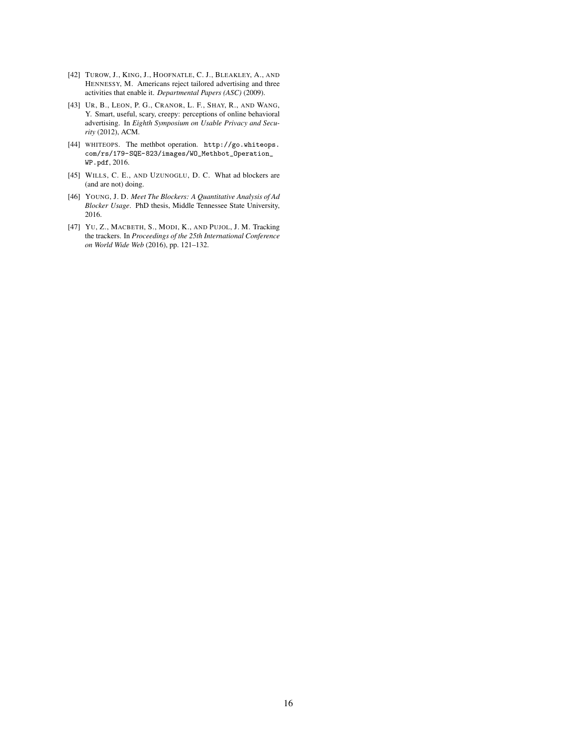- <span id="page-15-1"></span>[42] TUROW, J., KING, J., HOOFNATLE, C. J., BLEAKLEY, A., AND HENNESSY, M. Americans reject tailored advertising and three activities that enable it. *Departmental Papers (ASC)* (2009).
- <span id="page-15-0"></span>[43] UR, B., LEON, P. G., CRANOR, L. F., SHAY, R., AND WANG, Y. Smart, useful, scary, creepy: perceptions of online behavioral advertising. In *Eighth Symposium on Usable Privacy and Security* (2012), ACM.
- <span id="page-15-5"></span>[44] WHITEOPS. The methbot operation. [http://go.whiteops.](http://go.whiteops.com/rs/179-SQE-823/images/WO_Methbot_Operation_WP.pdf) [com/rs/179-SQE-823/images/WO\\_Methbot\\_Operation\\_](http://go.whiteops.com/rs/179-SQE-823/images/WO_Methbot_Operation_WP.pdf) [WP.pdf](http://go.whiteops.com/rs/179-SQE-823/images/WO_Methbot_Operation_WP.pdf), 2016.
- <span id="page-15-4"></span>[45] WILLS, C. E., AND UZUNOGLU, D. C. What ad blockers are (and are not) doing.
- <span id="page-15-2"></span>[46] YOUNG, J. D. *Meet The Blockers: A Quantitative Analysis of Ad Blocker Usage*. PhD thesis, Middle Tennessee State University, 2016.
- <span id="page-15-3"></span>[47] YU, Z., MACBETH, S., MODI, K., AND PUJOL, J. M. Tracking the trackers. In *Proceedings of the 25th International Conference on World Wide Web* (2016), pp. 121–132.